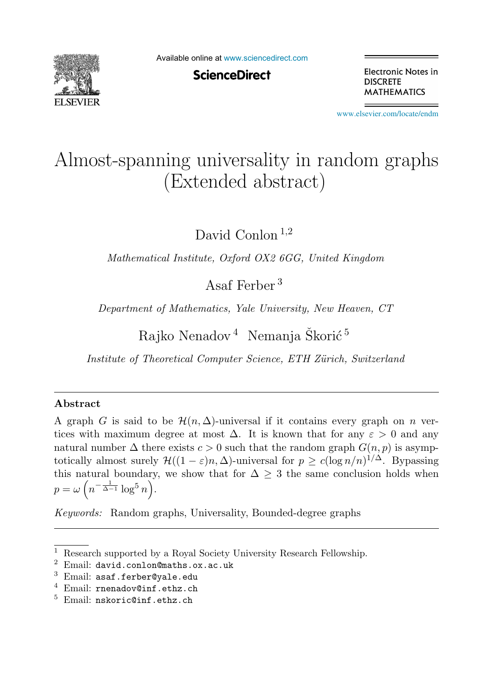

Available online at [www.sciencedirect.com](http://www.sciencedirect.com)

**ScienceDirect** 

Electronic Notes in **DISCRETE MATHEMATICS** 

[www.elsevier.com/locate/endm](http://www.elsevier.com/locate/endm)

# Almost-spanning universality in random graphs (Extended abstract)

David Conlon<sup>1,2</sup>

*Mathematical Institute, Oxford OX2 6GG, United Kingdom*

Asaf Ferber <sup>3</sup>

*Department of Mathematics, Yale University, New Heaven, CT*

Rajko Nenadov<sup>4</sup> Nemanja Škorić<sup>5</sup>

*Institute of Theoretical Computer Science, ETH Z¨urich, Switzerland*

### **Abstract**

A graph G is said to be  $\mathcal{H}(n,\Delta)$ -universal if it contains every graph on n vertices with maximum degree at most  $\Delta$ . It is known that for any  $\varepsilon > 0$  and any natural number  $\Delta$  there exists  $c > 0$  such that the random graph  $G(n, p)$  is asymptotically almost surely  $\mathcal{H}((1 - \varepsilon)n, \Delta)$ -universal for  $p \ge c(\log n/n)^{1/\Delta}$ . Bypassing this natural boundary, we show that for  $\Delta \geq 3$  the same conclusion holds when  $p = \omega \left( n^{-\frac{1}{\Delta - 1}} \log^5 n \right).$ 

*Keywords:* Random graphs, Universality, Bounded-degree graphs

<sup>&</sup>lt;sup>1</sup> Research supported by a Royal Society University Research Fellowship.

<sup>2</sup> Email: david.conlon@maths.ox.ac.uk

 $3$  Email: asaf.ferber@yale.edu

<sup>4</sup> Email: rnenadov@inf.ethz.ch

 $5$  Email: nskoric@inf.ethz.ch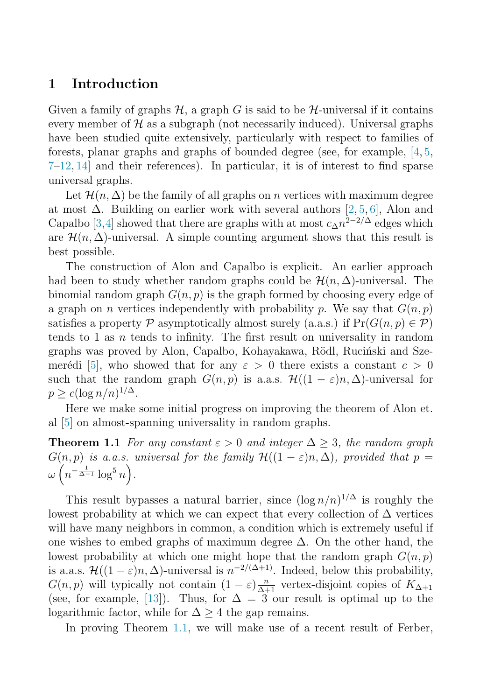## <span id="page-1-0"></span>**1 Introduction**

Given a family of graphs  $\mathcal{H}$ , a graph G is said to be  $\mathcal{H}$ -universal if it contains every member of  $\mathcal H$  as a subgraph (not necessarily induced). Universal graphs have been studied quite extensively, particularly with respect to families of forests, planar graphs and graphs of bounded degree (see, for example, [\[4,](#page-8-0) [5,](#page-8-0) [7–12,](#page-8-0) [14\]](#page-8-0) and their references). In particular, it is of interest to find sparse universal graphs.

Let  $\mathcal{H}(n,\Delta)$  be the family of all graphs on n vertices with maximum degree at most  $\Delta$ . Building on earlier work with several authors [\[2,](#page-7-0) [5,](#page-8-0) [6\]](#page-8-0), Alon and Capalbo [\[3,4\]](#page-8-0) showed that there are graphs with at most  $c_{\Delta}n^{2-2/\Delta}$  edges which are  $\mathcal{H}(n,\Delta)$ -universal. A simple counting argument shows that this result is best possible.

The construction of Alon and Capalbo is explicit. An earlier approach had been to study whether random graphs could be  $\mathcal{H}(n,\Delta)$ -universal. The binomial random graph  $G(n, p)$  is the graph formed by choosing every edge of a graph on *n* vertices independently with probability p. We say that  $G(n, p)$ satisfies a property  $\mathcal P$  asymptotically almost surely (a.a.s.) if  $Pr(G(n, p) \in \mathcal P)$ tends to 1 as  $n$  tends to infinity. The first result on universality in random graphs was proved by Alon, Capalbo, Kohayakawa, Rödl, Ruciński and Sze-merédi [\[5\]](#page-8-0), who showed that for any  $\varepsilon > 0$  there exists a constant  $c > 0$ such that the random graph  $G(n, p)$  is a.a.s.  $\mathcal{H}((1 - \varepsilon)n, \Delta)$ -universal for  $p \geq c(\log n/n)^{1/\Delta}.$ 

Here we make some initial progress on improving the theorem of Alon et. al [\[5\]](#page-8-0) on almost-spanning universality in random graphs.

**Theorem 1.1** For any constant  $\varepsilon > 0$  and integer  $\Delta > 3$ , the random graph  $G(n, p)$  is a.a.s. universal for the family  $\mathcal{H}((1 - \varepsilon)n, \Delta)$ , provided that  $p =$  $\omega\left(n^{-\frac{1}{\Delta-1}}\log^5{n}\right)$ .

This result bypasses a natural barrier, since  $(\log n/n)^{1/\Delta}$  is roughly the lowest probability at which we can expect that every collection of  $\Delta$  vertices will have many neighbors in common, a condition which is extremely useful if one wishes to embed graphs of maximum degree  $\Delta$ . On the other hand, the lowest probability at which one might hope that the random graph  $G(n, p)$ is a.a.s.  $\mathcal{H}((1-\varepsilon)n, \Delta)$ -universal is  $n^{-2/(\Delta+1)}$ . Indeed, below this probability,  $G(n, p)$  will typically not contain  $(1 - \varepsilon) \frac{n}{\Delta + 1}$  vertex-disjoint copies of  $K_{\Delta + 1}$ <br>(see for example [13]). Thus, for  $\Delta = 3$  our result is optimal up to the (see, for example, [\[13\]](#page-8-0)). Thus, for  $\Delta = 3$  our result is optimal up to the logarithmic factor, while for  $\Delta \geq 4$  the gap remains.

In proving Theorem 1.1, we will make use of a recent result of Ferber,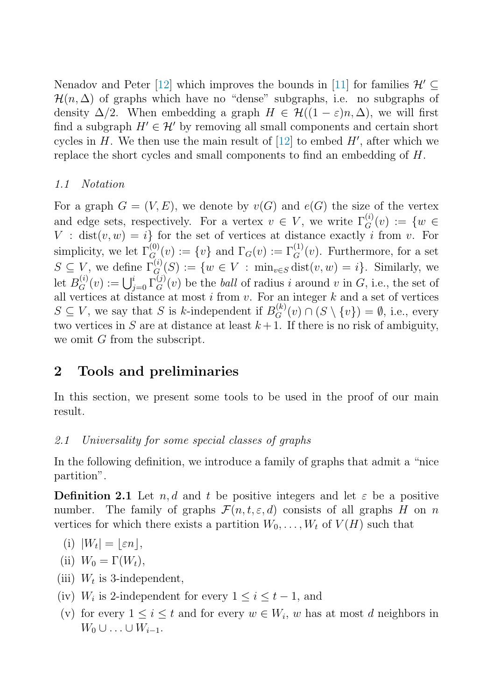<span id="page-2-0"></span>Nenadov and Peter [\[12\]](#page-8-0) which improves the bounds in [\[11\]](#page-8-0) for families  $\mathcal{H}' \subseteq$  $\mathcal{H}(n, \Delta)$  of graphs which have no "dense" subgraphs, i.e. no subgraphs of density  $\Delta/2$ . When embedding a graph  $H \in \mathcal{H}((1-\varepsilon)n, \Delta)$ , we will first find a subgraph  $H' \in \mathcal{H}'$  by removing all small components and certain short cycles in  $H$ . We then use the main result of [\[12\]](#page-8-0) to embed  $H'$ , after which we replace the short cycles and small components to find an embedding of H.

#### 1.1 Notation

For a graph  $G = (V, E)$ , we denote by  $v(G)$  and  $e(G)$  the size of the vertex and edge sets, respectively. For a vertex  $v \in V$ , we write  $\Gamma_G^{(i)}(v) := \{w \in V : |v| \leq \epsilon\}$  $V : dist(v, w) = i$  for the set of vertices at distance exactly i from v. For simplicity, we let  $\Gamma_{G_{(1)}}^{(0)}(v) := \{v\}$  and  $\Gamma_{G}(v) := \Gamma_{G}^{(1)}(v)$ . Furthermore, for a set  $S \subseteq V$ , we define  $\Gamma_G^{(i)}(S) := \{w \in V : \min_{v \in S} \text{dist}(v, w) = i\}.$  Similarly, we let  $B_G^{(i)}(v) := \bigcup_{j=0}^i \Gamma_G^{(j)}(v)$  be the *ball* of radius i around v in G, i.e., the set of vertices at distance at most i from v. For an integer k and a set of vertices all vertices at distance at most  $i$  from  $v$ . For an integer  $k$  and a set of vertices  $S \subseteq V$ , we say that S is k-independent if  $B_G^{(k)}(v) \cap (S \setminus \{v\}) = \emptyset$ , i.e., every two vertices in S are at distance at least  $k+1$ . If there is no risk of ambiguity, we omit G from the subscript.

# **2 Tools and preliminaries**

In this section, we present some tools to be used in the proof of our main result.

### 2.1 Universality for some special classes of graphs

In the following definition, we introduce a family of graphs that admit a "nice partition".

**Definition 2.1** Let  $n, d$  and t be positive integers and let  $\varepsilon$  be a positive number. The family of graphs  $\mathcal{F}(n, t, \varepsilon, d)$  consists of all graphs H on n vertices for which there exists a partition  $W_0, \ldots, W_t$  of  $V(H)$  such that

(i) 
$$
|W_t| = \lfloor \varepsilon n \rfloor
$$
,

- (ii)  $W_0 = \Gamma(W_t)$ ,
- (iii)  $W_t$  is 3-independent,
- (iv)  $W_i$  is 2-independent for every  $1 \leq i \leq t-1$ , and
- (v) for every  $1 \leq i \leq t$  and for every  $w \in W_i$ , w has at most d neighbors in  $W_0 \cup \ldots \cup W_{i-1}$ .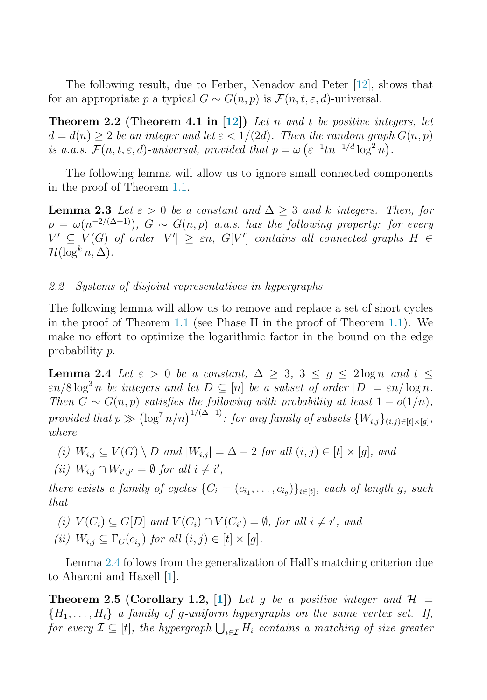<span id="page-3-0"></span>The following result, due to Ferber, Nenadov and Peter [\[12\]](#page-8-0), shows that for an appropriate p a typical  $G \sim G(n, p)$  is  $\mathcal{F}(n, t, \varepsilon, d)$ -universal.

**Theorem 2.2 (Theorem 4.1 in [\[12\]](#page-8-0))** Let n and t be positive integers, let  $d = d(n) > 2$  be an integer and let  $\varepsilon < 1/(2d)$ . Then the random graph  $G(n, p)$ is a.a.s.  $\mathcal{F}(n, t, \varepsilon, d)$ -universal, provided that  $p = \omega \left( \varepsilon^{-1} t n^{-1/d} \log^2 n \right)$ .

The following lemma will allow us to ignore small connected components in the proof of Theorem [1.1.](#page-1-0)

**Lemma 2.3** Let  $\varepsilon > 0$  be a constant and  $\Delta > 3$  and k integers. Then, for  $p = \omega(n^{-2/(\Delta+1)})$ ,  $G \sim G(n, p)$  a.a.s. has the following property: for every  $V' \subseteq V(G)$  of order  $|V'| \ge \varepsilon n$ ,  $G[V']$  contains all connected graphs  $H \in$  $\mathcal{H}(\log^k n, \Delta)$ .

#### 2.2 Systems of disjoint representatives in hypergraphs

The following lemma will allow us to remove and replace a set of short cycles in the proof of Theorem [1.1](#page-1-0) (see Phase II in the proof of Theorem [1.1\)](#page-1-0). We make no effort to optimize the logarithmic factor in the bound on the edge probability p.

**Lemma 2.4** Let  $\varepsilon > 0$  be a constant,  $\Delta > 3$ ,  $3 < q < 2 \log n$  and  $t <$  $\varepsilon n/8 \log^3 n$  be integers and let  $D \subseteq [n]$  be a subset of order  $|D| = \varepsilon n/\log n$ . Then  $G \sim G(n, p)$  satisfies the following with probability at least  $1 - o(1/n)$ , provided that  $p \gg (\log^7 n/n)^{1/(\Delta-1)}$ : for any family of subsets  $\{W_{i,j}\}_{(i,j)\in[t]\times[g]},$ where

(i) 
$$
W_{i,j} \subseteq V(G) \setminus D
$$
 and  $|W_{i,j}| = \Delta - 2$  for all  $(i, j) \in [t] \times [g]$ , and

(*ii*)  $W_{i,j} \cap W_{i',j'} = \emptyset$  for all  $i \neq i'$ ,

there exists a family of cycles  $\{C_i = (c_{i_1}, \ldots, c_{i_q})\}_{i \in [t]},$  each of length g, such that

- (i)  $V(C_i) \subseteq G[D]$  and  $V(C_i) \cap V(C_{i'}) = \emptyset$ , for all  $i \neq i'$ , and
- (ii)  $W_{i,j} \subseteq \Gamma_G(c_{i,j})$  for all  $(i,j) \in [t] \times [g]$ .

Lemma 2.4 follows from the generalization of Hall's matching criterion due to Aharoni and Haxell [\[1\]](#page-7-0).

**Theorem 2.5 (Corollary 1.2, [\[1\]](#page-7-0))** Let g be a positive integer and  $\mathcal{H} =$  ${H_1,\ldots,H_t}$  a family of g-uniform hypergraphs on the same vertex set. If, for every  $\mathcal{I} \subseteq [t]$ , the hypergraph  $\bigcup_{i \in \mathcal{I}} H_i$  contains a matching of size greater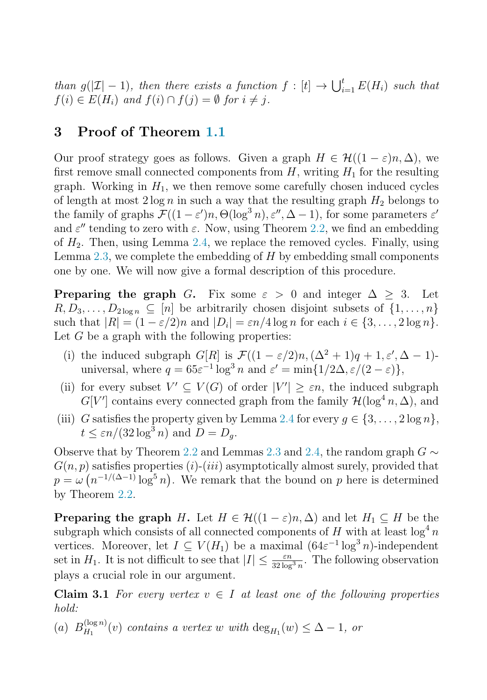<span id="page-4-0"></span>than  $g(|\mathcal{I}|-1)$ , then there exists a function  $f : [t] \to \bigcup_{i=1}^t E(H_i)$  such that  $f(i) \in E(H_i)$  and  $f(i) \cap f(i) - \emptyset$  for  $i \neq i$  $f(i) \in E(H_i)$  and  $f(i) \cap f(j) = \emptyset$  for  $i \neq j$ .

## **3 Proof of Theorem [1.1](#page-1-0)**

Our proof strategy goes as follows. Given a graph  $H \in \mathcal{H}((1-\varepsilon)n, \Delta)$ , we first remove small connected components from  $H$ , writing  $H_1$  for the resulting graph. Working in  $H_1$ , we then remove some carefully chosen induced cycles of length at most  $2 \log n$  in such a way that the resulting graph  $H_2$  belongs to the family of graphs  $\mathcal{F}((1-\varepsilon')n, \Theta(\log^3 n), \varepsilon'', \Delta-1)$ , for some parameters  $\varepsilon'$ and  $\varepsilon''$  tending to zero with  $\varepsilon$ . Now, using Theorem [2.2,](#page-3-0) we find an embedding of  $H_2$ . Then, using Lemma [2.4,](#page-3-0) we replace the removed cycles. Finally, using Lemma [2.3,](#page-3-0) we complete the embedding of  $H$  by embedding small components one by one. We will now give a formal description of this procedure.

**Preparing the graph** G. Fix some  $\varepsilon > 0$  and integer  $\Delta \geq 3$ . Let  $R, D_3, \ldots, D_{2\log n} \subseteq [n]$  be arbitrarily chosen disjoint subsets of  $\{1, \ldots, n\}$ such that  $|R| = (1 - \varepsilon/2)n$  and  $|D_i| = \varepsilon n/4 \log n$  for each  $i \in \{3, ..., 2 \log n\}.$ Let  $G$  be a graph with the following properties:

- (i) the induced subgraph  $G[R]$  is  $\mathcal{F}((1-\varepsilon/2)n, (\Delta^2+1)q+1, \varepsilon', \Delta-1)$ universal, where  $q = 65\varepsilon^{-1} \log^3 n$  and  $\varepsilon' = \min\{1/2\Delta, \varepsilon/(2-\varepsilon)\},$
- (ii) for every subset  $V' \subseteq V(G)$  of order  $|V'| \ge \varepsilon n$ , the induced subgraph  $G[V']$  contains every connected graph from the family  $\mathcal{H}(\log^4 n, \Delta)$ , and
- (iii) G satisfies the property given by Lemma [2.4](#page-3-0) for every  $g \in \{3, \ldots, 2 \log n\},\$  $t \leq \varepsilon n/(32 \log^3 n)$  and  $D = D_a$ .

Observe that by Theorem [2.2](#page-3-0) and Lemmas [2.3](#page-3-0) and [2.4,](#page-3-0) the random graph  $G \sim$  $G(n, p)$  satisfies properties (i)-(iii) asymptotically almost surely, provided that  $p = \omega \left( n^{-1/(\Delta - 1)} \log^5 n \right)$ . We remark that the bound on p here is determined by Theorem [2.2.](#page-3-0)

**Preparing the graph** H. Let  $H \in \mathcal{H}((1 - \varepsilon)n, \Delta)$  and let  $H_1 \subseteq H$  be the subgraph which consists of all connected components of H with at least  $\log^4 n$ vertices. Moreover, let  $I \subseteq V(H_1)$  be a maximal  $(64\varepsilon^{-1} \log^3 n)$ -independent set in  $H_1$ . It is not difficult to see that  $|I| \leq \frac{\varepsilon n}{32 \log^3 n}$ . The following observation plays a crucial role in our argument. plays a crucial role in our argument.

**Claim 3.1** For every vertex  $v \in I$  at least one of the following properties hold:

(a)  $B_{H_1}^{(\log n)}(v)$  contains a vertex w with  $\deg_{H_1}(w) \leq \Delta - 1$ , or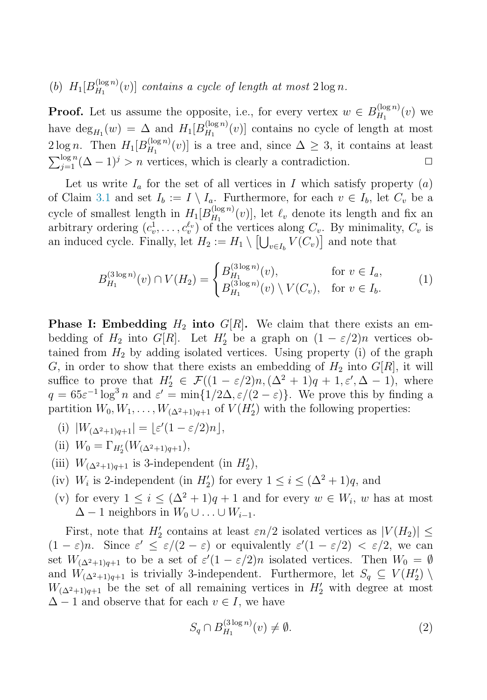<span id="page-5-0"></span>(b)  $H_1[B_{H_1}^{(\log n)}(v)]$  contains a cycle of length at most  $2\log n$ .

**Proof.** Let us assume the opposite, i.e., for every vertex  $w \in B_{H_1}^{(\log n)}(v)$  we have  $\deg_{H_1}(w) = \Delta$  and  $H_1[B_{H_1}^{(\log n)}(v)]$  contains no cycle of length at most  $2 \log n$ . Then  $H_1[B_{H_1}^{(\log n)}(v)]$  is a tree and, since  $\Delta \geq 3$ , it contains at least  $\sum_{j=1}^{\log n} (\Delta - 1)^j > n$  vertices, which is clearly a contradiction.  $\Box$ 

Let us write  $I_a$  for the set of all vertices in I which satisfy property  $(a)$ of Claim [3.1](#page-4-0) and set  $I_b := I \setminus I_a$ . Furthermore, for each  $v \in I_b$ , let  $C_v$  be a cycle of smallest length in  $H_1[B_{H_1}^{(\log n)}(v)]$ , let  $\ell_v$  denote its length and fix an arbitrary ordering  $(c_v^1, \ldots, c_v^{\ell_v})$  of the vertices along  $C_v$ . By minimality,  $C_v$  is an induced cycle. Finally, let  $H_2 := H_1 \setminus \left[\bigcup_{v \in I_b} V(C_v)\right]$  and note that

$$
B_{H_1}^{(3\log n)}(v) \cap V(H_2) = \begin{cases} B_{H_1}^{(3\log n)}(v), & \text{for } v \in I_a, \\ B_{H_1}^{(3\log n)}(v) \setminus V(C_v), & \text{for } v \in I_b. \end{cases}
$$
 (1)

**Phase I: Embedding**  $H_2$  **into**  $G[R]$ . We claim that there exists an embedding of  $H_2$  into  $G[R]$ . Let  $H'_2$  be a graph on  $(1 - \varepsilon/2)n$  vertices obtained from  $H_1$  by adding isolated vertices. Heing property (i) of the graph tained from  $H_2$  by adding isolated vertices. Using property (i) of the graph G, in order to show that there exists an embedding of  $H_2$  into  $G[R]$ , it will suffice to prove that  $H'_2 \in \mathcal{F}((1 - \varepsilon/2)n, (\Delta^2 + 1)q + 1, \varepsilon', \Delta - 1)$ , where  $a = 65\epsilon^{-1}\log^3 n$  and  $c' = \min\{1/2\Delta, \varepsilon/(2 - \varepsilon)\}\$ . We prove this by finding a  $q = 65\varepsilon^{-1} \log^3 n$  and  $\varepsilon' = \min\{1/2\Delta, \varepsilon/(2-\varepsilon)\}\.$  We prove this by finding a partition  $W_0, W_1, \ldots, W_{(\Delta^2+1)q+1}$  of  $V(H'_2)$  with the following properties:

- (i)  $|W_{(\Delta^2+1)q+1}| = \lfloor \varepsilon'(1-\varepsilon/2)n \rfloor,$
- (ii)  $W_0 = \Gamma_{H_2'}$  $\frac{1}{2}(W_{(\Delta^2+1)q+1}),$
- (iii)  $W_{(\Delta^2+1)q+1}$  is 3-independent (in  $H'_2$ ),
- (iv)  $W_i$  is 2-independent (in  $H'_2$ ) for every  $1 \leq i \leq (\Delta^2 + 1)q$ , and
- (v) for every  $1 \leq i \leq (\Delta^2 + 1)q + 1$  and for every  $w \in W_i$ , w has at most  $\Delta - 1$  neighbors in  $W_0 \cup \ldots \cup W_{i-1}$ .

First, note that  $H'_2$  contains at least  $\varepsilon n/2$  isolated vertices as  $|V(H_2)| \leq$  $(1 - \varepsilon)n$ . Since  $\varepsilon' \leq \varepsilon/(2 - \varepsilon)$  or equivalently  $\varepsilon'(1 - \varepsilon/2) < \varepsilon/2$ , we can set  $W_{(\Delta^2+1)q+1}$  to be a set of  $\varepsilon'(1-\varepsilon/2)n$  isolated vertices. Then  $W_0 = \emptyset$ and  $W_{(\Delta^2+1)q+1}$  is trivially 3-independent. Furthermore, let  $S_q \subseteq V(H'_2) \setminus W_{(\Delta^2+1)q+1}$  is trivially 3-independent. Furthermore, let  $S_q \subseteq V(H'_2)$  $W_{(\Delta^2+1)q+1}$  be the set of all remaining vertices in  $H'_2$  with degree at most  $\Delta - 1$  and observe that for each  $v \in I$ , we have

$$
S_q \cap B_{H_1}^{(3\log n)}(v) \neq \emptyset. \tag{2}
$$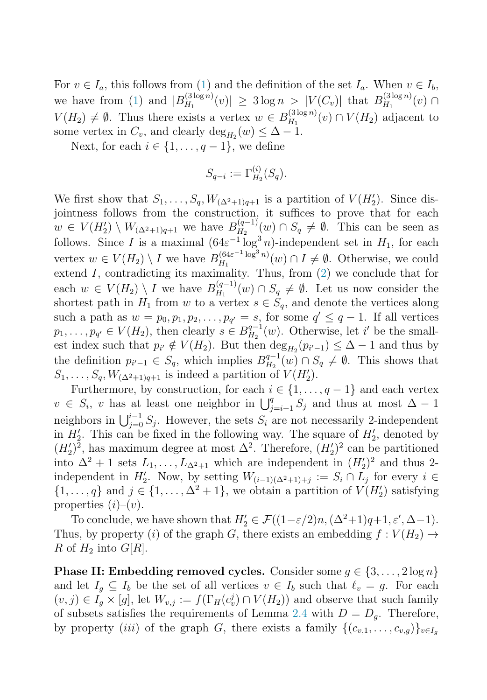For  $v \in I_a$ , this follows from [\(1\)](#page-5-0) and the definition of the set  $I_a$ . When  $v \in I_b$ , we have from [\(1\)](#page-5-0) and  $|B_{H_1}^{(3\log n)}(v)| \geq 3 \log n > |V(C_v)|$  that  $B_{H_1}^{(3\log n)}(v) \cap$  $V(H_2) \neq \emptyset$ . Thus there exists a vertex  $w \in B_{H_1}^{(3 \log n)}(v) \cap V(H_2)$  adjacent to some vertex in  $C_v$ , and clearly  $\deg_{H_2}(w) \leq \Delta - 1$ .

Next, for each  $i \in \{1, \ldots, q-1\}$ , we define

$$
S_{q-i} := \Gamma_{H_2}^{(i)}(S_q).
$$

We first show that  $S_1, \ldots, S_q, W_{(\Delta^2+1)q+1}$  is a partition of  $V(H'_2)$ . Since dis-<br>iontness follows from the construction it suffices to prove that for each jointness follows from the construction, it suffices to prove that for each  $w \in V(H_2') \setminus W_{(\Delta^2+1)q+1}$  we have  $B_{H_2}^{(q-1)}(w) \cap S_q \neq \emptyset$ . This can be seen as follows. Since I is a maximal  $(64\varepsilon^{-1} \log^3 n)$ -independent set in  $H_1$ , for each vertex  $w \in V(H_2) \setminus I$  we have  $B_{H_1}^{(64\varepsilon^{-1} \log^3 n)}(w) \cap I \neq \emptyset$ . Otherwise, we could extend  $I$ , contradicting its maximality. Thus, from  $(2)$  we conclude that for each  $w \in V(H_2) \setminus I$  we have  $B_{H_1}^{(q-1)}(w) \cap S_q \neq \emptyset$ . Let us now consider the shortest path in  $H_1$  from w to a vertex  $s \in S_q$ , and denote the vertices along such a path as  $w = p_0, p_1, p_2, \ldots, p_{q'} = s$ , for some  $q' \leq q-1$ . If all vertices  $p_1, \ldots, p_{q'} \in V(H_2)$ , then clearly  $s \in B_{H_2}^{q-1}(w)$ . Otherwise, let i' be the small-<br>oct index such that  $s \notin V(H)$ . But then dex  $(s) \leq \Lambda$ , d and thus by est index such that  $p_{i'} \notin V(H_2)$ . But then  $\deg_{H_2}(p_{i'-1}) \leq \Delta - 1$  and thus by the definition  $p_{i'-1} \in S_q$ , which implies  $B_{H_2}^{q-1}(w) \cap S_q \neq \emptyset$ . This shows that  $S_1, \ldots, S_q, W_{(\Delta^2+1)q+1}$  is indeed a partition of  $V(H'_2)$ .<br>European by construction for each  $i \in [1]$ .

Furthermore, by construction, for each  $i \in \{1, \ldots, q-1\}$  and each vertex  $v \in S_i$ , v has at least one neighbor in  $\bigcup_{j=i+1}^q S_j$  and thus at most  $\Delta - 1$ neighbors in  $\bigcup_{j=0}^{i-1} S_j$ . However, the sets  $S_i$  are not necessarily 2-independent<br>in  $H'$ . This can be fixed in the following way. The square of  $H'$ , denoted by in  $H'_2$ . This can be fixed in the following way. The square of  $H'_2$ , denoted by  $(H')^2$  has maximum degree at most  $\Lambda^2$ . Therefore,  $(H')^2$  can be partitioned  $(H_2')^2$ , has maximum degree at most  $\Delta^2$ . Therefore,  $(H_2')^2$  can be partitioned<br>into  $\Delta^2 + 1$  sets L, L, which are independent in  $(H')^2$  and thus 2 into  $\Delta^2 + 1$  sets  $L_1, \ldots, L_{\Delta^2+1}$  which are independent in  $(H'_2)^2$  and thus 2-<br>independent in  $H'$ . Now by setting  $W_1, \ldots, W_n$  is  $\subset S \cap I$  for every i. independent in  $H'_2$ . Now, by setting  $W_{(i-1)(\Delta^2+1)+j} := S_i \cap L_j$  for every  $i \in$  $\{1,\ldots,q\}$  and  $j \in \{1,\ldots,\Delta^2+1\}$ , we obtain a partition of  $V(H'_2)$  satisfying properties  $(i)-(v)$ .

To conclude, we have shown that  $H'_2 \in \mathcal{F}((1-\varepsilon/2)n, (\Delta^2+1)q+1, \varepsilon', \Delta-1)$ . Thus, by property (i) of the graph G, there exists an embedding  $f: V(H_2) \rightarrow$ R of  $H_2$  into  $G[R]$ .

**Phase II: Embedding removed cycles.** Consider some  $q \in \{3, ..., 2 \log n\}$ and let  $I_q \subseteq I_b$  be the set of all vertices  $v \in I_b$  such that  $\ell_v = g$ . For each  $(v, j) \in I_g \times [g]$ , let  $W_{v,j} := f(\Gamma_H(c_v^j) \cap V(H_2))$  and observe that such family of subsets satisfies the requirements of Lemma [2.4](#page-3-0) with  $D = D_q$ . Therefore, by property (iii) of the graph G, there exists a family  $\{(c_{v,1},\ldots,c_{v,g})\}_{v\in I_g}$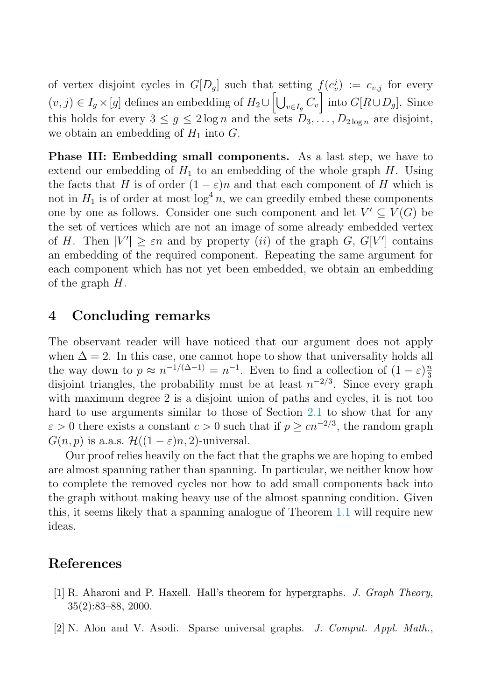<span id="page-7-0"></span>of vertex disjoint cycles in  $G[D_g]$  such that setting  $f(c_v^j) := c_{v,j}$  for every  $(v, j) \in I_g \times [g]$  defines an embedding of  $H_2 \cup \left[\bigcup_{v \in I_g} C_v\right]$  into  $G[R \cup D_g]$ . Since this holds for every  $3 \leq g \leq 2 \log n$  and the sets  $D_3, \ldots, D_{2 \log n}$  are disjoint, we obtain an embedding of  $H_1$  into  $G$ .

**Phase III: Embedding small components.** As a last step, we have to extend our embedding of  $H_1$  to an embedding of the whole graph  $H$ . Using the facts that H is of order  $(1 - \varepsilon)n$  and that each component of H which is not in  $H_1$  is of order at most  $\log^4 n$ , we can greedily embed these components one by one as follows. Consider one such component and let  $V' \subseteq V(G)$  be the set of vertices which are not an image of some already embedded vertex of H. Then  $|V'| \geq \varepsilon n$  and by property (*ii*) of the graph G, G[V'] contains an embedding of the required component. Repeating the same argument for each component which has not yet been embedded, we obtain an embedding of the graph  $H$ .

## **4 Concluding remarks**

The observant reader will have noticed that our argument does not apply when  $\Delta = 2$ . In this case, one cannot hope to show that universality holds all the way down to  $p \approx n^{-1/(\Delta-1)} = n^{-1}$ . Even to find a collection of  $(1 - \varepsilon) \frac{n}{3}$ disjoint triangles, the probability must be at least  $n^{-2/3}$ . Since every graph with maximum degree 2 is a disjoint union of paths and cycles, it is not too hard to use arguments similar to those of Section [2.1](#page-2-0) to show that for any  $\varepsilon > 0$  there exists a constant  $c > 0$  such that if  $p \geq cn^{-2/3}$ , the random graph  $G(n, p)$  is a.a.s.  $\mathcal{H}((1 - \varepsilon)n, 2)$ -universal.

Our proof relies heavily on the fact that the graphs we are hoping to embed are almost spanning rather than spanning. In particular, we neither know how to complete the removed cycles nor how to add small components back into the graph without making heavy use of the almost spanning condition. Given this, it seems likely that a spanning analogue of Theorem [1.1](#page-1-0) will require new ideas.

## **References**

- [1] R. Aharoni and P. Haxell. Hall's theorem for hypergraphs. *J. Graph Theory*, 35(2):83–88, 2000.
- [2] N. Alon and V. Asodi. Sparse universal graphs. *J. Comput. Appl. Math.*,